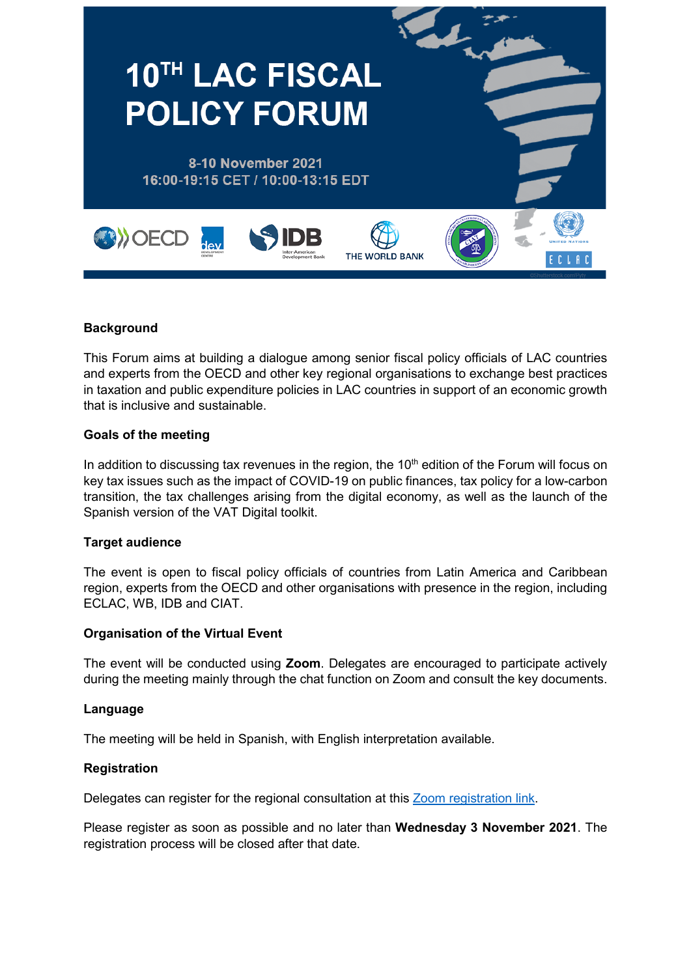

#### **Background**

This Forum aims at building a dialogue among senior fiscal policy officials of LAC countries and experts from the OECD and other key regional organisations to exchange best practices in taxation and public expenditure policies in LAC countries in support of an economic growth that is inclusive and sustainable.

#### **Goals of the meeting**

In addition to discussing tax revenues in the region, the  $10<sup>th</sup>$  edition of the Forum will focus on key tax issues such as the impact of COVID-19 on public finances, tax policy for a low-carbon transition, the tax challenges arising from the digital economy, as well as the launch of the Spanish version of the VAT Digital toolkit.

#### **Target audience**

The event is open to fiscal policy officials of countries from Latin America and Caribbean region, experts from the OECD and other organisations with presence in the region, including ECLAC, WB, IDB and CIAT.

#### **Organisation of the Virtual Event**

The event will be conducted using **Zoom**. Delegates are encouraged to participate actively during the meeting mainly through the chat function on Zoom and consult the key documents.

#### **Language**

The meeting will be held in Spanish, with English interpretation available.

#### **Registration**

Delegates can register for the regional consultation at this [Zoom registration link.](https://meetoecd1.zoom.us/meeting/register/tJwrdO2qrzwtHNGV_joPgNcUtwg4Zwzr3aX2)

Please register as soon as possible and no later than **Wednesday 3 November 2021**. The registration process will be closed after that date.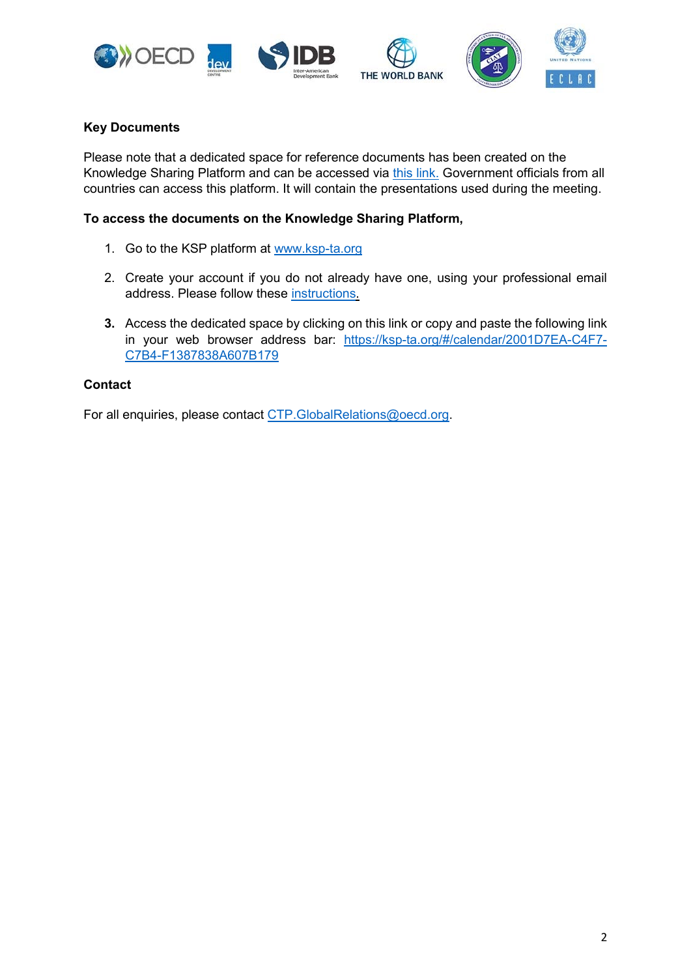







## **Key Documents**

Please note that a dedicated space for reference documents has been created on the Knowledge Sharing Platform and can be accessed via [this link.](https://ksp-ta.org/#/calendar/2001D7EA-C4F7-C7B4-F1387838A607B179) Government officials from all countries can access this platform. It will contain the presentations used during the meeting.

## **To access the documents on the Knowledge Sharing Platform,**

- 1. Go to the KSP platform at [www.ksp-ta.org](http://www.ksp-ta.org/)
- 2. Create your account if you do not already have one, using your professional email address. Please follow these [instructions.](https://eur02.safelinks.protection.outlook.com/?url=http%3A%2F%2Fwww.oecd.org%2Ftax%2Ftax-global%2Fksp-e-learning-quick-guide.pdf&data=04%7C01%7CWeijing.YE%40oecd.org%7C29558e3d50cf4aa12e7908d8cdf53cef%7Cac41c7d41f61460db0f4fc925a2b471c%7C0%7C0%7C637485800484533358%7CUnknown%7CTWFpbGZsb3d8eyJWIjoiMC4wLjAwMDAiLCJQIjoiV2luMzIiLCJBTiI6Ik1haWwiLCJXVCI6Mn0%3D%7C1000&sdata=MReEAir%2B26tAwLLag4b9V8wnBmo61VjnxVHJY8dzc7c%3D&reserved=0)
- **3.** Access the dedicated space by clicking on this link or copy and paste the following link in your web browser address bar: [https://ksp-ta.org/#/calendar/2001D7EA-C4F7-](https://ksp-ta.org/#/calendar/2001D7EA-C4F7-C7B4-F1387838A607B179) [C7B4-F1387838A607B179](https://ksp-ta.org/#/calendar/2001D7EA-C4F7-C7B4-F1387838A607B179)

### **Contact**

For all enquiries, please contact [CTP.GlobalRelations@oecd.org.](mailto:CTP.GlobalRelations@oecd.org)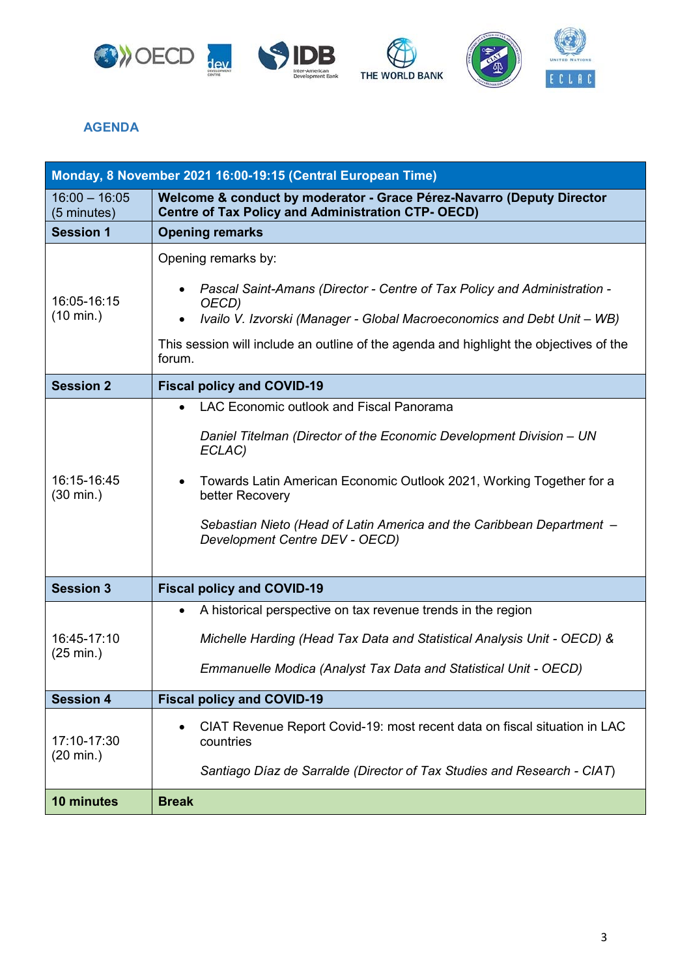







# **AGENDA**

|                                    | Monday, 8 November 2021 16:00-19:15 (Central European Time)                                                                                                                                                                                                                                                                     |
|------------------------------------|---------------------------------------------------------------------------------------------------------------------------------------------------------------------------------------------------------------------------------------------------------------------------------------------------------------------------------|
| $16:00 - 16:05$<br>(5 minutes)     | Welcome & conduct by moderator - Grace Pérez-Navarro (Deputy Director<br><b>Centre of Tax Policy and Administration CTP- OECD)</b>                                                                                                                                                                                              |
| <b>Session 1</b>                   | <b>Opening remarks</b>                                                                                                                                                                                                                                                                                                          |
| 16:05-16:15<br>$(10 \text{ min.})$ | Opening remarks by:<br>Pascal Saint-Amans (Director - Centre of Tax Policy and Administration -<br>OECD)<br>Ivailo V. Izvorski (Manager - Global Macroeconomics and Debt Unit - WB)                                                                                                                                             |
|                                    | This session will include an outline of the agenda and highlight the objectives of the<br>forum.                                                                                                                                                                                                                                |
| <b>Session 2</b>                   | <b>Fiscal policy and COVID-19</b>                                                                                                                                                                                                                                                                                               |
| 16:15-16:45<br>$(30 \text{ min.})$ | LAC Economic outlook and Fiscal Panorama<br>Daniel Titelman (Director of the Economic Development Division - UN<br>ECLAC)<br>Towards Latin American Economic Outlook 2021, Working Together for a<br>better Recovery<br>Sebastian Nieto (Head of Latin America and the Caribbean Department -<br>Development Centre DEV - OECD) |
| <b>Session 3</b>                   | <b>Fiscal policy and COVID-19</b>                                                                                                                                                                                                                                                                                               |
| 16:45-17:10<br>(25 min.)           | A historical perspective on tax revenue trends in the region<br>$\bullet$<br>Michelle Harding (Head Tax Data and Statistical Analysis Unit - OECD) &<br>Emmanuelle Modica (Analyst Tax Data and Statistical Unit - OECD)                                                                                                        |
| <b>Session 4</b>                   | <b>Fiscal policy and COVID-19</b>                                                                                                                                                                                                                                                                                               |
| 17:10-17:30<br>$(20 \text{ min.})$ | CIAT Revenue Report Covid-19: most recent data on fiscal situation in LAC<br>countries<br>Santiago Díaz de Sarralde (Director of Tax Studies and Research - CIAT)                                                                                                                                                               |
| 10 minutes                         | <b>Break</b>                                                                                                                                                                                                                                                                                                                    |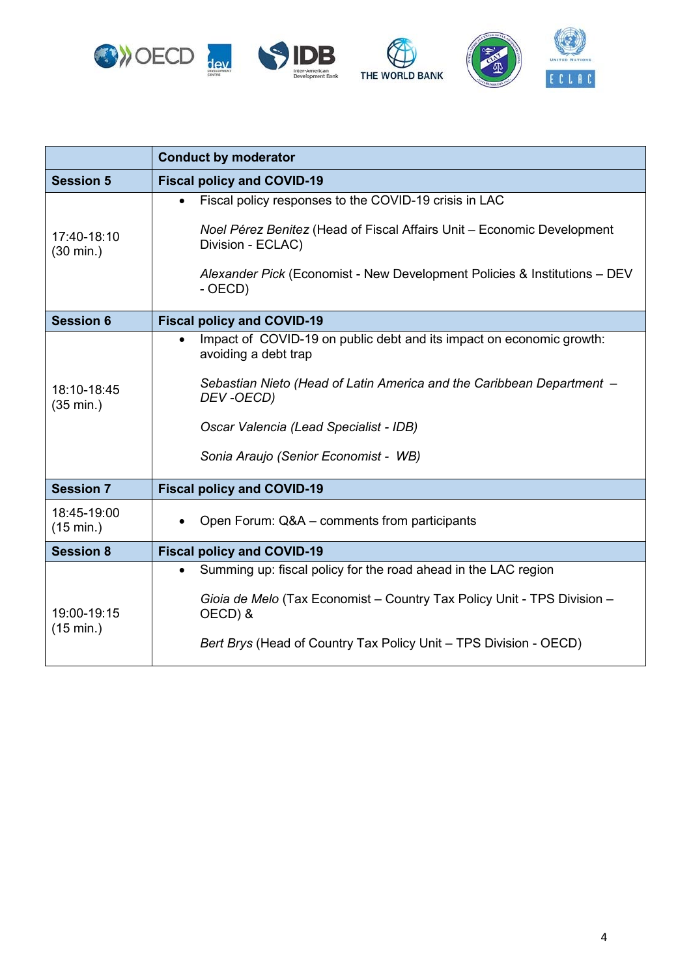

|                                    | <b>Conduct by moderator</b>                                                                               |
|------------------------------------|-----------------------------------------------------------------------------------------------------------|
| <b>Session 5</b>                   | <b>Fiscal policy and COVID-19</b>                                                                         |
| 17:40-18:10<br>$(30 \text{ min.})$ | Fiscal policy responses to the COVID-19 crisis in LAC                                                     |
|                                    | Noel Pérez Benitez (Head of Fiscal Affairs Unit – Economic Development<br>Division - ECLAC)               |
|                                    | Alexander Pick (Economist - New Development Policies & Institutions - DEV<br>- OECD)                      |
| <b>Session 6</b>                   | <b>Fiscal policy and COVID-19</b>                                                                         |
| 18:10-18:45<br>$(35 \text{ min.})$ | Impact of COVID-19 on public debt and its impact on economic growth:<br>$\bullet$<br>avoiding a debt trap |
|                                    | Sebastian Nieto (Head of Latin America and the Caribbean Department -<br>DEV-OECD)                        |
|                                    | Oscar Valencia (Lead Specialist - IDB)                                                                    |
|                                    | Sonia Araujo (Senior Economist - WB)                                                                      |
| <b>Session 7</b>                   | <b>Fiscal policy and COVID-19</b>                                                                         |
| 18:45-19:00<br>$(15 \text{ min.})$ | Open Forum: Q&A - comments from participants                                                              |
| <b>Session 8</b>                   | <b>Fiscal policy and COVID-19</b>                                                                         |
|                                    | Summing up: fiscal policy for the road ahead in the LAC region                                            |
| 19:00-19:15<br>(15 min.)           | Gioia de Melo (Tax Economist - Country Tax Policy Unit - TPS Division -<br>OECD) &                        |
|                                    | Bert Brys (Head of Country Tax Policy Unit - TPS Division - OECD)                                         |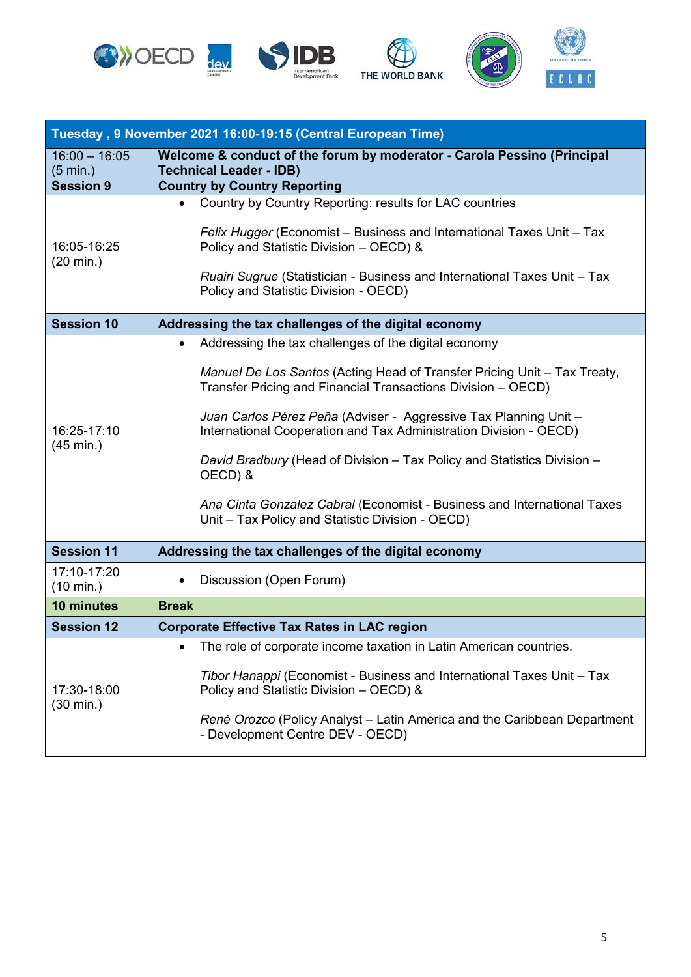







| Tuesday, 9 November 2021 16:00-19:15 (Central European Time) |                                                                                                                                                                                                                                                                                                                                                                                                                                                                                                                                                                |
|--------------------------------------------------------------|----------------------------------------------------------------------------------------------------------------------------------------------------------------------------------------------------------------------------------------------------------------------------------------------------------------------------------------------------------------------------------------------------------------------------------------------------------------------------------------------------------------------------------------------------------------|
| $16:00 - 16:05$<br>$(5 \text{ min.})$                        | Welcome & conduct of the forum by moderator - Carola Pessino (Principal<br><b>Technical Leader - IDB)</b>                                                                                                                                                                                                                                                                                                                                                                                                                                                      |
| <b>Session 9</b>                                             | <b>Country by Country Reporting</b>                                                                                                                                                                                                                                                                                                                                                                                                                                                                                                                            |
| 16:05-16:25<br>$(20 \text{ min.})$                           | Country by Country Reporting: results for LAC countries<br>Felix Hugger (Economist – Business and International Taxes Unit – Tax<br>Policy and Statistic Division - OECD) &                                                                                                                                                                                                                                                                                                                                                                                    |
|                                                              | Ruairi Sugrue (Statistician - Business and International Taxes Unit - Tax<br>Policy and Statistic Division - OECD)                                                                                                                                                                                                                                                                                                                                                                                                                                             |
| <b>Session 10</b>                                            | Addressing the tax challenges of the digital economy                                                                                                                                                                                                                                                                                                                                                                                                                                                                                                           |
| 16:25-17:10<br>$(45 \text{ min.})$                           | Addressing the tax challenges of the digital economy<br>Manuel De Los Santos (Acting Head of Transfer Pricing Unit - Tax Treaty,<br>Transfer Pricing and Financial Transactions Division - OECD)<br>Juan Carlos Pérez Peña (Adviser - Aggressive Tax Planning Unit -<br>International Cooperation and Tax Administration Division - OECD)<br>David Bradbury (Head of Division - Tax Policy and Statistics Division -<br>OECD) &<br>Ana Cinta Gonzalez Cabral (Economist - Business and International Taxes<br>Unit - Tax Policy and Statistic Division - OECD) |
| <b>Session 11</b>                                            | Addressing the tax challenges of the digital economy                                                                                                                                                                                                                                                                                                                                                                                                                                                                                                           |
| 17:10-17:20<br>$(10 \text{ min.})$                           | Discussion (Open Forum)                                                                                                                                                                                                                                                                                                                                                                                                                                                                                                                                        |
| 10 minutes                                                   | <b>Break</b>                                                                                                                                                                                                                                                                                                                                                                                                                                                                                                                                                   |
| <b>Session 12</b>                                            | <b>Corporate Effective Tax Rates in LAC region</b>                                                                                                                                                                                                                                                                                                                                                                                                                                                                                                             |
| 17:30-18:00<br>(30 min.)                                     | The role of corporate income taxation in Latin American countries.<br>Tibor Hanappi (Economist - Business and International Taxes Unit - Tax<br>Policy and Statistic Division - OECD) &<br>René Orozco (Policy Analyst – Latin America and the Caribbean Department<br>- Development Centre DEV - OECD)                                                                                                                                                                                                                                                        |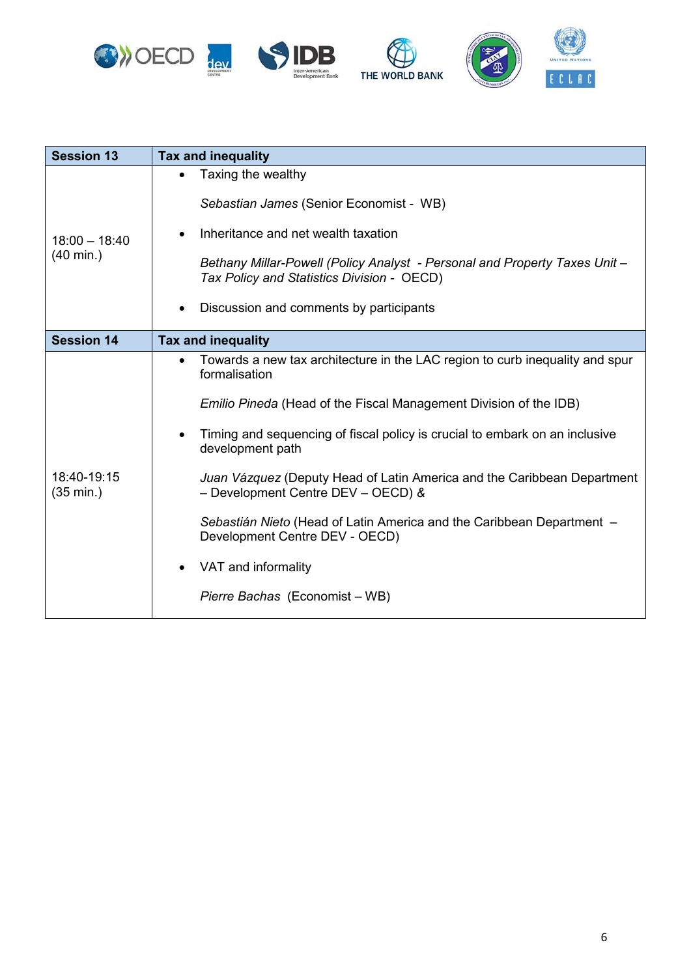





| <b>Session 13</b>                      | Tax and inequality                                                                                                                                                                                                                                                                                                                                                                                                                                                                                                                                                      |
|----------------------------------------|-------------------------------------------------------------------------------------------------------------------------------------------------------------------------------------------------------------------------------------------------------------------------------------------------------------------------------------------------------------------------------------------------------------------------------------------------------------------------------------------------------------------------------------------------------------------------|
| $18:00 - 18:40$<br>$(40 \text{ min.})$ | Taxing the wealthy<br>Sebastian James (Senior Economist - WB)<br>Inheritance and net wealth taxation<br>Bethany Millar-Powell (Policy Analyst - Personal and Property Taxes Unit -<br>Tax Policy and Statistics Division - OECD)<br>Discussion and comments by participants                                                                                                                                                                                                                                                                                             |
| <b>Session 14</b>                      | <b>Tax and inequality</b>                                                                                                                                                                                                                                                                                                                                                                                                                                                                                                                                               |
| 18:40-19:15<br>$(35 \text{ min.})$     | Towards a new tax architecture in the LAC region to curb inequality and spur<br>$\bullet$<br>formalisation<br>Emilio Pineda (Head of the Fiscal Management Division of the IDB)<br>Timing and sequencing of fiscal policy is crucial to embark on an inclusive<br>development path<br>Juan Vázquez (Deputy Head of Latin America and the Caribbean Department<br>- Development Centre DEV - OECD) &<br>Sebastián Nieto (Head of Latin America and the Caribbean Department -<br>Development Centre DEV - OECD)<br>VAT and informality<br>Pierre Bachas (Economist – WB) |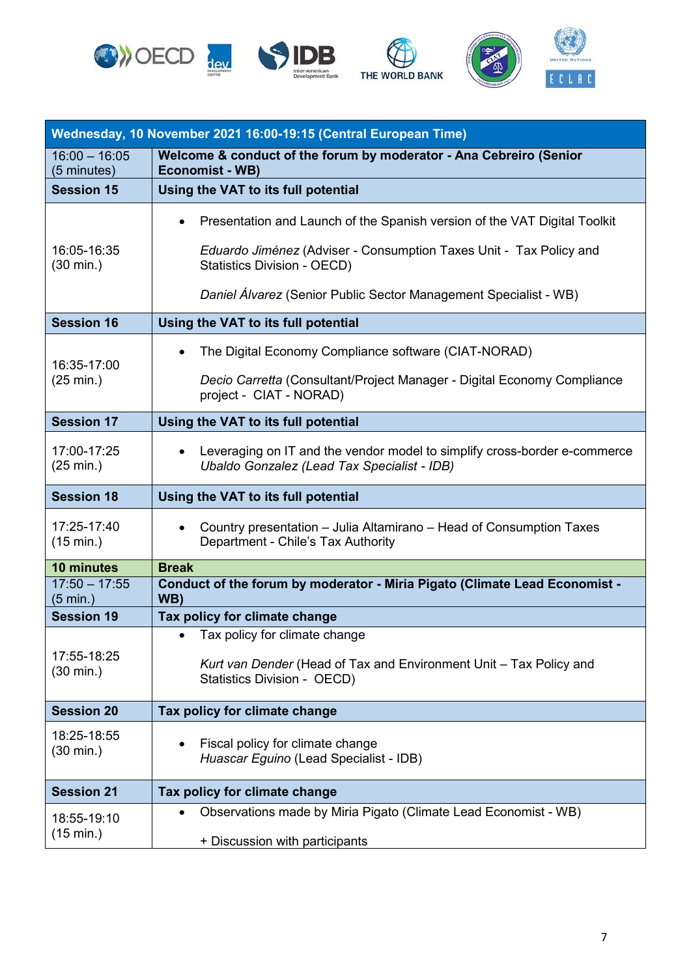







|                                       | Wednesday, 10 November 2021 16:00-19:15 (Central European Time)                                                          |  |
|---------------------------------------|--------------------------------------------------------------------------------------------------------------------------|--|
| $16:00 - 16:05$<br>(5 minutes)        | Welcome & conduct of the forum by moderator - Ana Cebreiro (Senior<br><b>Economist - WB)</b>                             |  |
| <b>Session 15</b>                     | Using the VAT to its full potential                                                                                      |  |
|                                       | Presentation and Launch of the Spanish version of the VAT Digital Toolkit<br>$\bullet$                                   |  |
| 16:05-16:35<br>$(30 \text{ min.})$    | Eduardo Jiménez (Adviser - Consumption Taxes Unit - Tax Policy and<br>Statistics Division - OECD)                        |  |
|                                       | Daniel Álvarez (Senior Public Sector Management Specialist - WB)                                                         |  |
| <b>Session 16</b>                     | Using the VAT to its full potential                                                                                      |  |
| 16:35-17:00<br>$(25 \text{ min.})$    | The Digital Economy Compliance software (CIAT-NORAD)<br>$\bullet$                                                        |  |
|                                       | Decio Carretta (Consultant/Project Manager - Digital Economy Compliance<br>project - CIAT - NORAD)                       |  |
| <b>Session 17</b>                     | Using the VAT to its full potential                                                                                      |  |
| 17:00-17:25<br>$(25 \text{ min.})$    | Leveraging on IT and the vendor model to simplify cross-border e-commerce<br>Ubaldo Gonzalez (Lead Tax Specialist - IDB) |  |
| <b>Session 18</b>                     | Using the VAT to its full potential                                                                                      |  |
| 17:25-17:40<br>$(15 \text{ min.})$    | Country presentation – Julia Altamirano – Head of Consumption Taxes<br>Department - Chile's Tax Authority                |  |
| 10 minutes                            | <b>Break</b>                                                                                                             |  |
| $17:50 - 17:55$<br>$(5 \text{ min.})$ | Conduct of the forum by moderator - Miria Pigato (Climate Lead Economist -<br>WB)                                        |  |
| <b>Session 19</b>                     | Tax policy for climate change                                                                                            |  |
|                                       | Tax policy for climate change<br>$\bullet$                                                                               |  |
| 17:55-18:25<br>$(30 \text{ min.})$    | Kurt van Dender (Head of Tax and Environment Unit - Tax Policy and<br><b>Statistics Division - OECD)</b>                 |  |
| <b>Session 20</b>                     | Tax policy for climate change                                                                                            |  |
| 18:25-18:55<br>$(30 \text{ min.})$    | Fiscal policy for climate change<br>Huascar Eguino (Lead Specialist - IDB)                                               |  |
| <b>Session 21</b>                     | Tax policy for climate change                                                                                            |  |
| 18:55-19:10<br>(15 min.)              | Observations made by Miria Pigato (Climate Lead Economist - WB)                                                          |  |
|                                       | + Discussion with participants                                                                                           |  |